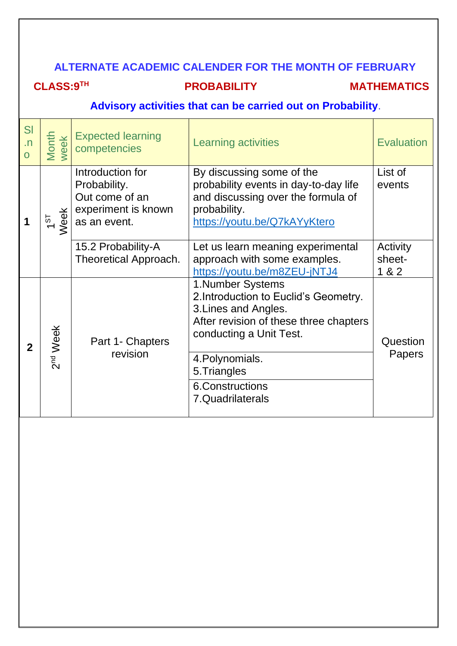#### **ALTERNATE ACADEMIC CALENDER FOR THE MONTH OF FEBRUARY**

#### **CLASS:9TH**

**PROBABILITY MATHEMATICS** 

#### **Advisory activities that can be carried out on Probability**.

| SI<br>$\cdot$ n<br>$\Omega$ | Month<br>week        | <b>Expected learning</b><br>competencies                                                  | <b>Learning activities</b>                                                                                                                                                                 | <b>Evaluation</b>           |
|-----------------------------|----------------------|-------------------------------------------------------------------------------------------|--------------------------------------------------------------------------------------------------------------------------------------------------------------------------------------------|-----------------------------|
|                             | <b>Neek</b><br>151   | Introduction for<br>Probability.<br>Out come of an<br>experiment is known<br>as an event. | By discussing some of the<br>probability events in day-to-day life<br>and discussing over the formula of<br>probability.<br>https://youtu.be/Q7kAYyKtero                                   | List of<br>events           |
|                             |                      | 15.2 Probability-A<br>Theoretical Approach.                                               | Let us learn meaning experimental<br>approach with some examples.<br>https://youtu.be/m8ZEU-jNTJ4                                                                                          | Activity<br>sheet-<br>1 & 2 |
| $\overline{2}$              | 2 <sup>nd</sup> Week | Part 1- Chapters<br>revision                                                              | 1. Number Systems<br>2. Introduction to Euclid's Geometry.<br>3. Lines and Angles.<br>After revision of these three chapters<br>conducting a Unit Test.<br>4. Polynomials.<br>5. Triangles | Question<br><b>Papers</b>   |
|                             |                      |                                                                                           | <b>6.Constructions</b><br>7.Quadrilaterals                                                                                                                                                 |                             |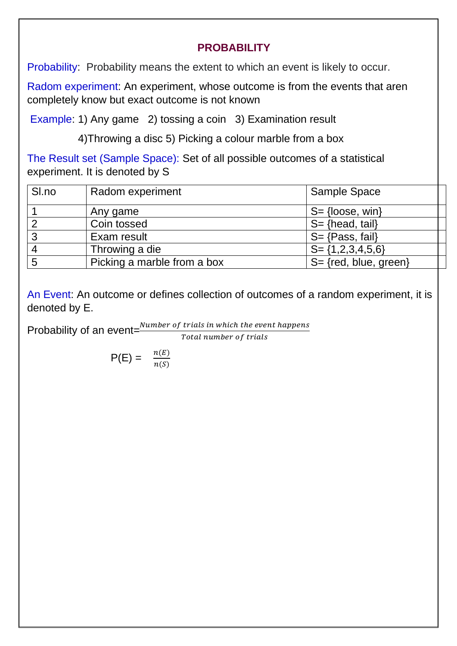#### **PROBABILITY**

Probability: Probability means the extent to which an event is likely to occur.

Radom experiment: An experiment, whose outcome is from the events that aren completely know but exact outcome is not known

Example: 1) Any game 2) tossing a coin 3) Examination result

4)Throwing a disc 5) Picking a colour marble from a box

The Result set (Sample Space): Set of all possible outcomes of a statistical experiment. It is denoted by S

| SI.no | Radom experiment            | <b>Sample Space</b>         |
|-------|-----------------------------|-----------------------------|
|       | Any game                    | $S = \{loose, win\}$        |
|       | Coin tossed                 | $S = \{head, tail\}$        |
| 3     | Exam result                 | $S = \{Pass, fail\}$        |
|       | Throwing a die              | $S = \{1, 2, 3, 4, 5, 6\}$  |
| 5     | Picking a marble from a box | $S = \{ red, blue, green\}$ |

An Event: An outcome or defines collection of outcomes of a random experiment, it is denoted by E.

Probability of an event= $\frac{Number\ of\ trials\ in\ which\ the\ event\ happens}{Total\ number\ of\ trials}$ Total number of trials

$$
\mathsf{P}(\mathsf{E}) = \frac{n(E)}{n(S)}
$$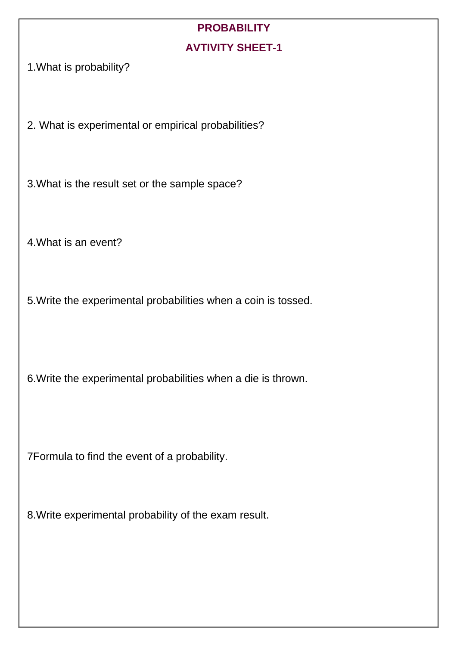### **PROBABILITY AVTIVITY SHEET-1**

1.What is probability?

2. What is experimental or empirical probabilities?

3.What is the result set or the sample space?

4.What is an event?

5.Write the experimental probabilities when a coin is tossed.

6.Write the experimental probabilities when a die is thrown.

7Formula to find the event of a probability.

8.Write experimental probability of the exam result.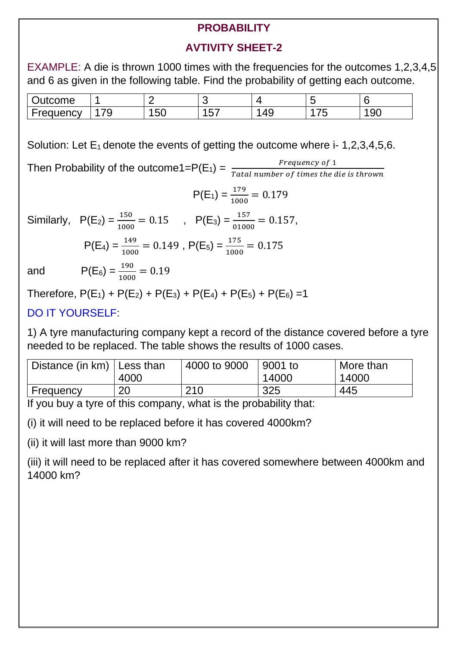#### **PROBABILITY**

#### **AVTIVITY SHEET-2**

EXAMPLE: A die is thrown 1000 times with the frequencies for the outcomes 1,2,3,4,5 and 6 as given in the following table. Find the probability of getting each outcome.

| <i>v</i> tcome<br>ulur |                |                    |                 |          |                    |                |
|------------------------|----------------|--------------------|-----------------|----------|--------------------|----------------|
| auency<br>، د،         | 7 <sup>c</sup> | $\mathbf{r}$<br>◡◡ | $- -$<br>∽<br>∼ | AC<br>ーご | --<br>$\mathbf{L}$ | <b>QC</b><br>◡ |

Solution: Let  $E_1$  denote the events of getting the outcome where i- 1,2,3,4,5,6.

Then Probability of the outcome1= $P(E_1) = \frac{Frequency \ of \ 1}{Total \ 1}$ Tatal number of times the die is thrown  $P(E_1) = \frac{179}{1000}$  $\frac{1}{1000}$  = 0.179 Similarly,  $P(E_2) = \frac{150}{100}$  $\frac{150}{1000} = 0.15$  ,  $P(E_3) = \frac{157}{0100}$  $\frac{137}{01000} = 0.157,$  $P(E_4) = \frac{149}{1000}$  $\frac{149}{1000} = 0.149$ ,  $P(E_5) = \frac{175}{1000}$  $\frac{175}{1000} = 0.175$ and  $P(E_6) = \frac{190}{100}$  $\frac{190}{1000} = 0.19$ 

Therefore,  $P(E_1) + P(E_2) + P(E_3) + P(E_4) + P(E_5) + P(E_6) = 1$ 

#### DO IT YOURSELF:

1) A tyre manufacturing company kept a record of the distance covered before a tyre needed to be replaced. The table shows the results of 1000 cases.

| Distance (in $km$ )   Less than |      | 4000 to 9000 | <sup>∣</sup> 9001 to | More than |
|---------------------------------|------|--------------|----------------------|-----------|
|                                 | 4000 |              | 14000                | 14000     |
| Frequency                       | 20   | 210          | 325                  | 445       |

If you buy a tyre of this company, what is the probability that:

(i) it will need to be replaced before it has covered 4000km?

(ii) it will last more than 9000 km?

(iii) it will need to be replaced after it has covered somewhere between 4000km and 14000 km?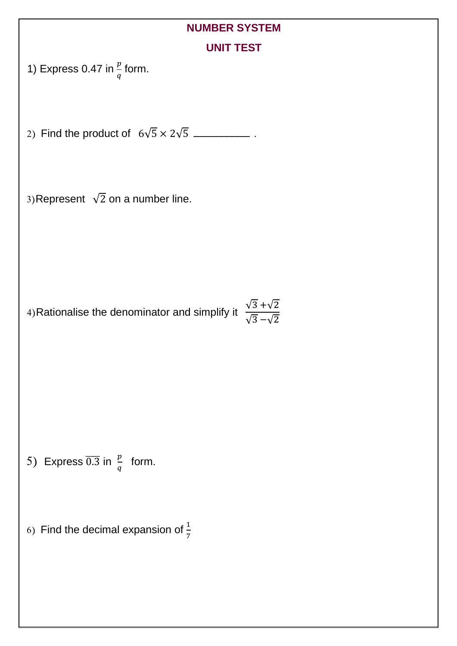# **NUMBER SYSTEM**

| UNIT |  |  |  |
|------|--|--|--|
|      |  |  |  |

| 1) Express 0.47 in $\frac{p}{q}$ form. |  |  |
|----------------------------------------|--|--|
|                                        |  |  |

2) Find the product of  $6\sqrt{5} \times 2\sqrt{5}$  \_\_\_\_\_\_\_\_\_\_\_\_\_.

3)Represent  $\sqrt{2}$  on a number line.

4)Rationalise the denominator and simplify it  $\frac{\sqrt{3} + \sqrt{2}}{\sqrt{3} - \sqrt{2}}$ 

5) Express  $\overline{0.3}$  in  $\frac{p}{q}$  form.

6) Find the decimal expansion of  $\frac{1}{7}$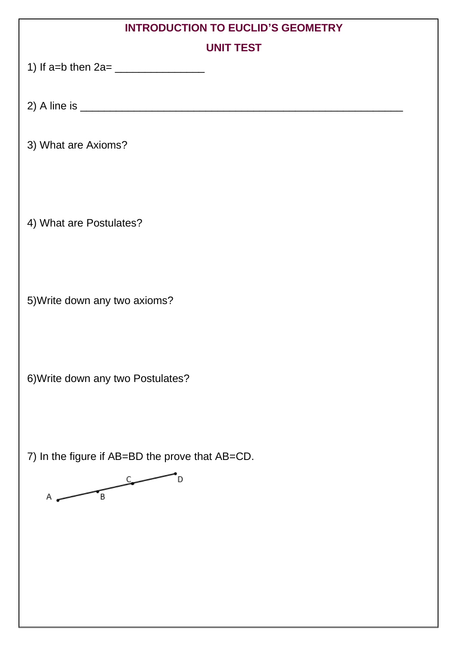| <b>INTRODUCTION TO EUCLID'S GEOMETRY</b>        |  |  |  |
|-------------------------------------------------|--|--|--|
| <b>UNIT TEST</b>                                |  |  |  |
|                                                 |  |  |  |
|                                                 |  |  |  |
|                                                 |  |  |  |
|                                                 |  |  |  |
| 3) What are Axioms?                             |  |  |  |
|                                                 |  |  |  |
|                                                 |  |  |  |
|                                                 |  |  |  |
| 4) What are Postulates?                         |  |  |  |
|                                                 |  |  |  |
|                                                 |  |  |  |
|                                                 |  |  |  |
| 5) Write down any two axioms?                   |  |  |  |
|                                                 |  |  |  |
|                                                 |  |  |  |
|                                                 |  |  |  |
| 6) Write down any two Postulates?               |  |  |  |
|                                                 |  |  |  |
|                                                 |  |  |  |
|                                                 |  |  |  |
|                                                 |  |  |  |
| 7) In the figure if AB=BD the prove that AB=CD. |  |  |  |
|                                                 |  |  |  |
| B<br>Α                                          |  |  |  |
|                                                 |  |  |  |
|                                                 |  |  |  |
|                                                 |  |  |  |
|                                                 |  |  |  |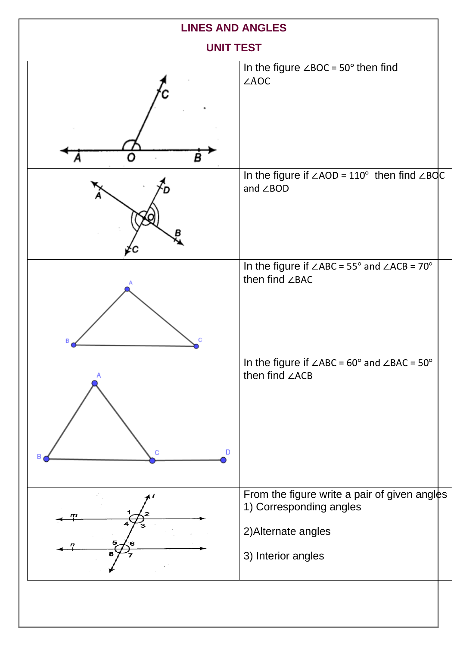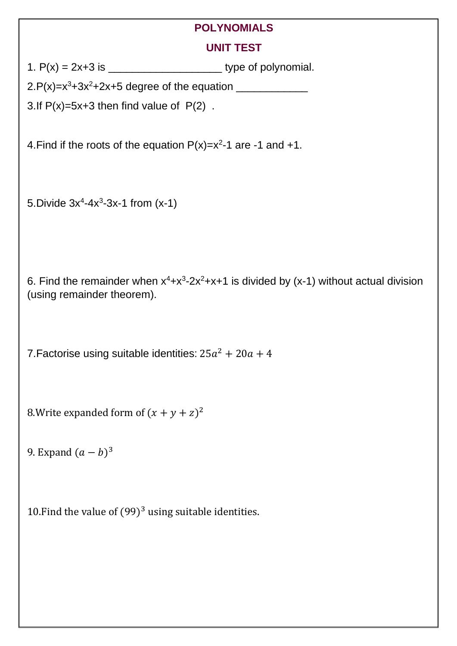#### **POLYNOMIALS**

#### **UNIT TEST**

1.  $P(x) = 2x+3$  is type of polynomial.

2.P(x)=x<sup>3</sup>+3x<sup>2</sup>+2x+5 degree of the equation \_\_\_\_\_\_\_\_\_\_\_\_

3.If  $P(x)=5x+3$  then find value of  $P(2)$ .

4. Find if the roots of the equation  $P(x)=x^2-1$  are  $-1$  and  $+1$ .

5. Divide  $3x^4 - 4x^3 - 3x - 1$  from  $(x - 1)$ 

6. Find the remainder when  $x^4 + x^3 - 2x^2 + x + 1$  is divided by (x-1) without actual division (using remainder theorem).

7. Factorise using suitable identities:  $25a^2 + 20a + 4$ 

8. Write expanded form of  $(x + y + z)^2$ 

9. Expand  $(a - b)^3$ 

10. Find the value of  $(99)^3$  using suitable identities.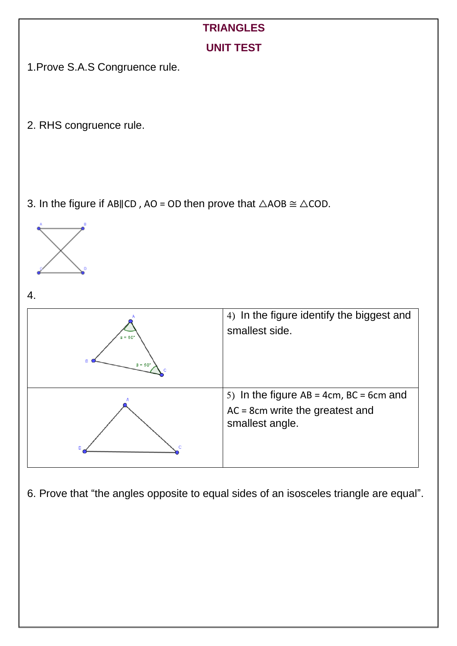







6. Prove that "the angles opposite to equal sides of an isosceles triangle are equal".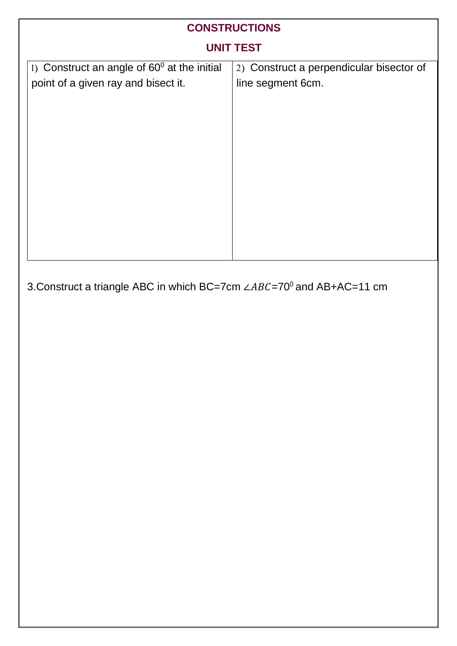| <b>CONSTRUCTIONS</b>                                                                        |                                                               |  |  |  |  |
|---------------------------------------------------------------------------------------------|---------------------------------------------------------------|--|--|--|--|
| <b>UNIT TEST</b>                                                                            |                                                               |  |  |  |  |
| 1) Construct an angle of $60^{\circ}$ at the initial<br>point of a given ray and bisect it. | 2) Construct a perpendicular bisector of<br>line segment 6cm. |  |  |  |  |

3. Construct a triangle ABC in which BC=7cm ∠ABC=70<sup>0</sup> and AB+AC=11 cm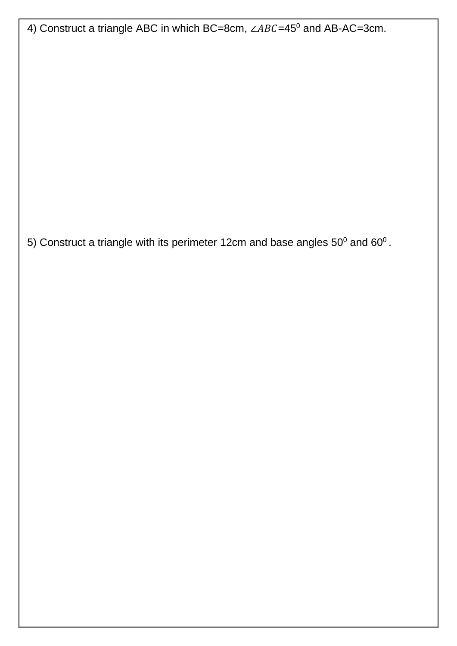4) Construct a triangle ABC in which BC=8cm, ∠ABC=45<sup>0</sup> and AB-AC=3cm.

5) Construct a triangle with its perimeter 12cm and base angles 50<sup>0</sup> and 60<sup>0</sup>.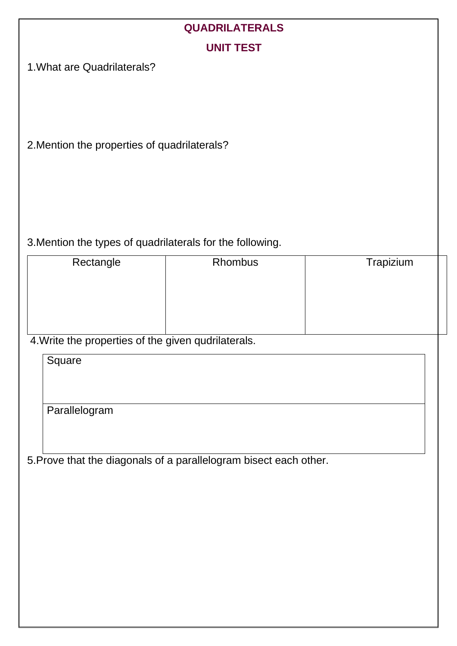## **QUADRILATERALS**

#### **UNIT TEST**

1.What are Quadrilaterals?

2.Mention the properties of quadrilaterals?

#### 3.Mention the types of quadrilaterals for the following.

| Rectangle | Rhombus | Trapizium |
|-----------|---------|-----------|
|           |         |           |
|           |         |           |
|           |         |           |
|           |         |           |

4.Write the properties of the given qudrilaterals.

**Square Parallelogram** 

5.Prove that the diagonals of a parallelogram bisect each other.